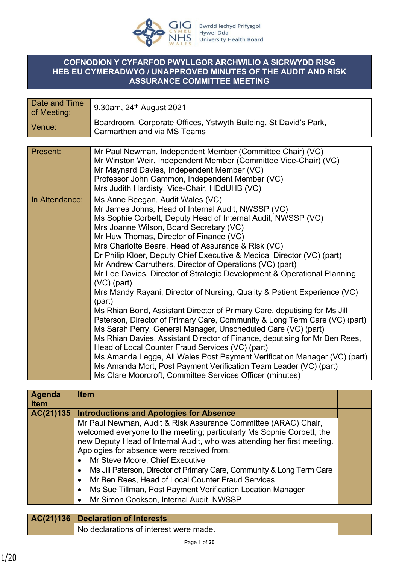

### **COFNODION Y CYFARFOD PWYLLGOR ARCHWILIO A SICRWYDD RISG HEB EU CYMERADWYO / UNAPPROVED MINUTES OF THE AUDIT AND RISK ASSURANCE COMMITTEE MEETING**

| Date and Time<br>of Meeting: | 9.30am, 24 <sup>th</sup> August 2021                                                            |
|------------------------------|-------------------------------------------------------------------------------------------------|
| Venue:                       | Boardroom, Corporate Offices, Ystwyth Building, St David's Park,<br>Carmarthen and via MS Teams |
|                              |                                                                                                 |
| Present:                     | Mr Paul Newman, Independent Member (Committee Chair) (VC)                                       |
|                              | Mr Winston Weir, Independent Member (Committee Vice-Chair) (VC)                                 |
|                              | Mr Maynard Davies, Independent Member (VC)                                                      |
|                              | Professor John Gammon, Independent Member (VC)                                                  |
|                              | Mrs Judith Hardisty, Vice-Chair, HDdUHB (VC)                                                    |
| In Attendance:               | Ms Anne Beegan, Audit Wales (VC)                                                                |
|                              | Mr James Johns, Head of Internal Audit, NWSSP (VC)                                              |
|                              | Ms Sophie Corbett, Deputy Head of Internal Audit, NWSSP (VC)                                    |
|                              | Mrs Joanne Wilson, Board Secretary (VC)                                                         |
|                              | Mr Huw Thomas, Director of Finance (VC)                                                         |
|                              | Mrs Charlotte Beare, Head of Assurance & Risk (VC)                                              |
|                              | Dr Philip Kloer, Deputy Chief Executive & Medical Director (VC) (part)                          |
|                              | Mr Andrew Carruthers, Director of Operations (VC) (part)                                        |
|                              | Mr Lee Davies, Director of Strategic Development & Operational Planning<br>$(VC)$ (part)        |
|                              | Mrs Mandy Rayani, Director of Nursing, Quality & Patient Experience (VC)                        |
|                              | (part)                                                                                          |
|                              | Ms Rhian Bond, Assistant Director of Primary Care, deputising for Ms Jill                       |
|                              | Paterson, Director of Primary Care, Community & Long Term Care (VC) (part)                      |
|                              | Ms Sarah Perry, General Manager, Unscheduled Care (VC) (part)                                   |
|                              | Ms Rhian Davies, Assistant Director of Finance, deputising for Mr Ben Rees,                     |
|                              | Head of Local Counter Fraud Services (VC) (part)                                                |
|                              | Ms Amanda Legge, All Wales Post Payment Verification Manager (VC) (part)                        |
|                              | Ms Amanda Mort, Post Payment Verification Team Leader (VC) (part)                               |
|                              | Ms Clare Moorcroft, Committee Services Officer (minutes)                                        |

| <b>Introductions and Apologies for Absence</b>                          |  |
|-------------------------------------------------------------------------|--|
| Mr Paul Newman, Audit & Risk Assurance Committee (ARAC) Chair,          |  |
| welcomed everyone to the meeting; particularly Ms Sophie Corbett, the   |  |
| new Deputy Head of Internal Audit, who was attending her first meeting. |  |
| Apologies for absence were received from:                               |  |
| Mr Steve Moore, Chief Executive                                         |  |
| Ms Jill Paterson, Director of Primary Care, Community & Long Term Care  |  |
| Mr Ben Rees, Head of Local Counter Fraud Services                       |  |
| Ms Sue Tillman, Post Payment Verification Location Manager              |  |
| Mr Simon Cookson, Internal Audit, NWSSP                                 |  |
|                                                                         |  |

| $AC(21)136$ Declaration of Interests   |  |
|----------------------------------------|--|
| No declarations of interest were made. |  |
|                                        |  |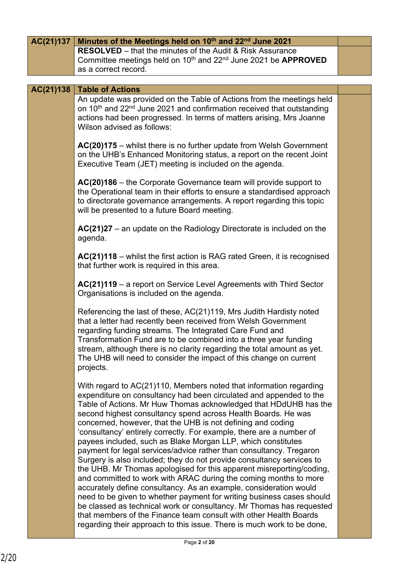| AC(21)137 | Minutes of the Meetings held on 10th and 22nd June 2021                                                                                                                                                                                                                                                                                                                                                                                                                                                                                                                                                                                                                                                                                                                                                                                                                                                                                                                                                                                                                                                                                               |  |
|-----------|-------------------------------------------------------------------------------------------------------------------------------------------------------------------------------------------------------------------------------------------------------------------------------------------------------------------------------------------------------------------------------------------------------------------------------------------------------------------------------------------------------------------------------------------------------------------------------------------------------------------------------------------------------------------------------------------------------------------------------------------------------------------------------------------------------------------------------------------------------------------------------------------------------------------------------------------------------------------------------------------------------------------------------------------------------------------------------------------------------------------------------------------------------|--|
|           | <b>RESOLVED</b> – that the minutes of the Audit & Risk Assurance<br>Committee meetings held on 10th and 22 <sup>nd</sup> June 2021 be APPROVED<br>as a correct record.                                                                                                                                                                                                                                                                                                                                                                                                                                                                                                                                                                                                                                                                                                                                                                                                                                                                                                                                                                                |  |
| AC(21)138 | <b>Table of Actions</b>                                                                                                                                                                                                                                                                                                                                                                                                                                                                                                                                                                                                                                                                                                                                                                                                                                                                                                                                                                                                                                                                                                                               |  |
|           | An update was provided on the Table of Actions from the meetings held<br>on 10 <sup>th</sup> and 22 <sup>nd</sup> June 2021 and confirmation received that outstanding<br>actions had been progressed. In terms of matters arising, Mrs Joanne<br>Wilson advised as follows:                                                                                                                                                                                                                                                                                                                                                                                                                                                                                                                                                                                                                                                                                                                                                                                                                                                                          |  |
|           | AC(20)175 – whilst there is no further update from Welsh Government<br>on the UHB's Enhanced Monitoring status, a report on the recent Joint<br>Executive Team (JET) meeting is included on the agenda.                                                                                                                                                                                                                                                                                                                                                                                                                                                                                                                                                                                                                                                                                                                                                                                                                                                                                                                                               |  |
|           | $AC(20)186$ – the Corporate Governance team will provide support to<br>the Operational team in their efforts to ensure a standardised approach<br>to directorate governance arrangements. A report regarding this topic<br>will be presented to a future Board meeting.                                                                                                                                                                                                                                                                                                                                                                                                                                                                                                                                                                                                                                                                                                                                                                                                                                                                               |  |
|           | $AC(21)27$ – an update on the Radiology Directorate is included on the<br>agenda.                                                                                                                                                                                                                                                                                                                                                                                                                                                                                                                                                                                                                                                                                                                                                                                                                                                                                                                                                                                                                                                                     |  |
|           | AC(21)118 – whilst the first action is RAG rated Green, it is recognised<br>that further work is required in this area.                                                                                                                                                                                                                                                                                                                                                                                                                                                                                                                                                                                                                                                                                                                                                                                                                                                                                                                                                                                                                               |  |
|           | AC(21)119 - a report on Service Level Agreements with Third Sector<br>Organisations is included on the agenda.                                                                                                                                                                                                                                                                                                                                                                                                                                                                                                                                                                                                                                                                                                                                                                                                                                                                                                                                                                                                                                        |  |
|           | Referencing the last of these, AC(21)119, Mrs Judith Hardisty noted<br>that a letter had recently been received from Welsh Government<br>regarding funding streams. The Integrated Care Fund and<br>Transformation Fund are to be combined into a three year funding<br>stream, although there is no clarity regarding the total amount as yet.<br>The UHB will need to consider the impact of this change on current<br>projects.                                                                                                                                                                                                                                                                                                                                                                                                                                                                                                                                                                                                                                                                                                                    |  |
|           | With regard to AC(21)110, Members noted that information regarding<br>expenditure on consultancy had been circulated and appended to the<br>Table of Actions. Mr Huw Thomas acknowledged that HDdUHB has the<br>second highest consultancy spend across Health Boards. He was<br>concerned, however, that the UHB is not defining and coding<br>'consultancy' entirely correctly. For example, there are a number of<br>payees included, such as Blake Morgan LLP, which constitutes<br>payment for legal services/advice rather than consultancy. Tregaron<br>Surgery is also included; they do not provide consultancy services to<br>the UHB. Mr Thomas apologised for this apparent misreporting/coding,<br>and committed to work with ARAC during the coming months to more<br>accurately define consultancy. As an example, consideration would<br>need to be given to whether payment for writing business cases should<br>be classed as technical work or consultancy. Mr Thomas has requested<br>that members of the Finance team consult with other Health Boards<br>regarding their approach to this issue. There is much work to be done, |  |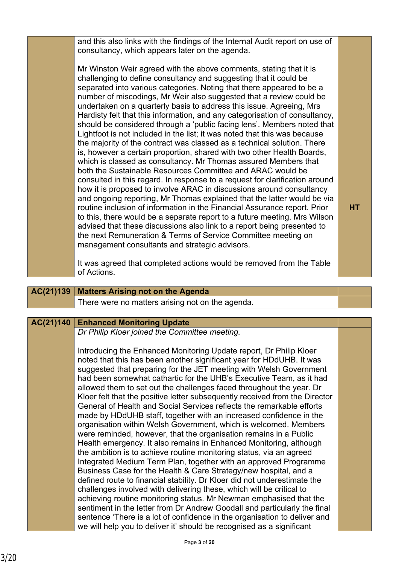| and this also links with the findings of the Internal Audit report on use of<br>consultancy, which appears later on the agenda.                                                                                                                                                                                                                                                                                                                                                                                                                                                                                                                                                                                                                                                                                                                                                                                                                                                                                                                                                                                                                                                                                                                                                                                                                                                                                                                                                        |    |
|----------------------------------------------------------------------------------------------------------------------------------------------------------------------------------------------------------------------------------------------------------------------------------------------------------------------------------------------------------------------------------------------------------------------------------------------------------------------------------------------------------------------------------------------------------------------------------------------------------------------------------------------------------------------------------------------------------------------------------------------------------------------------------------------------------------------------------------------------------------------------------------------------------------------------------------------------------------------------------------------------------------------------------------------------------------------------------------------------------------------------------------------------------------------------------------------------------------------------------------------------------------------------------------------------------------------------------------------------------------------------------------------------------------------------------------------------------------------------------------|----|
| Mr Winston Weir agreed with the above comments, stating that it is<br>challenging to define consultancy and suggesting that it could be<br>separated into various categories. Noting that there appeared to be a<br>number of miscodings, Mr Weir also suggested that a review could be<br>undertaken on a quarterly basis to address this issue. Agreeing, Mrs<br>Hardisty felt that this information, and any categorisation of consultancy,<br>should be considered through a 'public facing lens'. Members noted that<br>Lightfoot is not included in the list; it was noted that this was because<br>the majority of the contract was classed as a technical solution. There<br>is, however a certain proportion, shared with two other Health Boards,<br>which is classed as consultancy. Mr Thomas assured Members that<br>both the Sustainable Resources Committee and ARAC would be<br>consulted in this regard. In response to a request for clarification around<br>how it is proposed to involve ARAC in discussions around consultancy<br>and ongoing reporting, Mr Thomas explained that the latter would be via<br>routine inclusion of information in the Financial Assurance report. Prior<br>to this, there would be a separate report to a future meeting. Mrs Wilson<br>advised that these discussions also link to a report being presented to<br>the next Remuneration & Terms of Service Committee meeting on<br>management consultants and strategic advisors. | HТ |
| It was agreed that completed actions would be removed from the Table<br>of Actions.                                                                                                                                                                                                                                                                                                                                                                                                                                                                                                                                                                                                                                                                                                                                                                                                                                                                                                                                                                                                                                                                                                                                                                                                                                                                                                                                                                                                    |    |

# **AC(21)139 Matters Arising not on the Agenda** There were no matters arising not on the agenda.

# **AC(21)140 Enhanced Monitoring Update**

*Dr Philip Kloer joined the Committee meeting.*

Introducing the Enhanced Monitoring Update report, Dr Philip Kloer noted that this has been another significant year for HDdUHB. It was suggested that preparing for the JET meeting with Welsh Government had been somewhat cathartic for the UHB's Executive Team, as it had allowed them to set out the challenges faced throughout the year. Dr Kloer felt that the positive letter subsequently received from the Director General of Health and Social Services reflects the remarkable efforts made by HDdUHB staff, together with an increased confidence in the organisation within Welsh Government, which is welcomed. Members were reminded, however, that the organisation remains in a Public Health emergency. It also remains in Enhanced Monitoring, although the ambition is to achieve routine monitoring status, via an agreed Integrated Medium Term Plan, together with an approved Programme Business Case for the Health & Care Strategy/new hospital, and a defined route to financial stability. Dr Kloer did not underestimate the challenges involved with delivering these, which will be critical to achieving routine monitoring status. Mr Newman emphasised that the sentiment in the letter from Dr Andrew Goodall and particularly the final sentence 'There is a lot of confidence in the organisation to deliver and we will help you to deliver it' should be recognised as a significant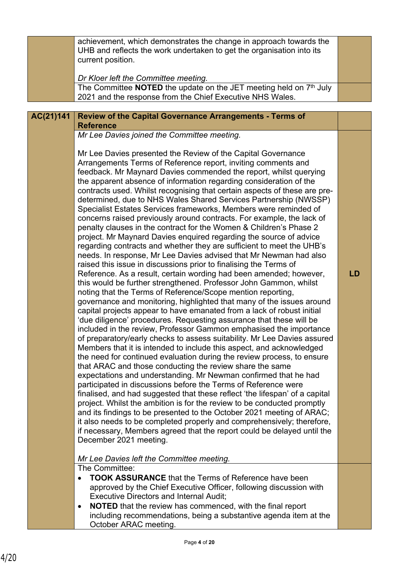|           | achievement, which demonstrates the change in approach towards the<br>UHB and reflects the work undertaken to get the organisation into its<br>current position.<br>Dr Kloer left the Committee meeting.                                                                                                                                                                                                                                                                                                                                                                                                                                                                                                                                                                                                                                                                                                                                                                                                                                                                                                                                                                                                                                                                                                                                                                                                                                                                                                                                                                                                                                                                                                                                                                                                                                                                                                                                                                                                                                                                                                                                                                                                                                                                                                                                      |    |
|-----------|-----------------------------------------------------------------------------------------------------------------------------------------------------------------------------------------------------------------------------------------------------------------------------------------------------------------------------------------------------------------------------------------------------------------------------------------------------------------------------------------------------------------------------------------------------------------------------------------------------------------------------------------------------------------------------------------------------------------------------------------------------------------------------------------------------------------------------------------------------------------------------------------------------------------------------------------------------------------------------------------------------------------------------------------------------------------------------------------------------------------------------------------------------------------------------------------------------------------------------------------------------------------------------------------------------------------------------------------------------------------------------------------------------------------------------------------------------------------------------------------------------------------------------------------------------------------------------------------------------------------------------------------------------------------------------------------------------------------------------------------------------------------------------------------------------------------------------------------------------------------------------------------------------------------------------------------------------------------------------------------------------------------------------------------------------------------------------------------------------------------------------------------------------------------------------------------------------------------------------------------------------------------------------------------------------------------------------------------------|----|
|           | The Committee <b>NOTED</b> the update on the JET meeting held on $7th$ July<br>2021 and the response from the Chief Executive NHS Wales.                                                                                                                                                                                                                                                                                                                                                                                                                                                                                                                                                                                                                                                                                                                                                                                                                                                                                                                                                                                                                                                                                                                                                                                                                                                                                                                                                                                                                                                                                                                                                                                                                                                                                                                                                                                                                                                                                                                                                                                                                                                                                                                                                                                                      |    |
| AC(21)141 | <b>Review of the Capital Governance Arrangements - Terms of</b><br><b>Reference</b>                                                                                                                                                                                                                                                                                                                                                                                                                                                                                                                                                                                                                                                                                                                                                                                                                                                                                                                                                                                                                                                                                                                                                                                                                                                                                                                                                                                                                                                                                                                                                                                                                                                                                                                                                                                                                                                                                                                                                                                                                                                                                                                                                                                                                                                           |    |
|           | Mr Lee Davies joined the Committee meeting.                                                                                                                                                                                                                                                                                                                                                                                                                                                                                                                                                                                                                                                                                                                                                                                                                                                                                                                                                                                                                                                                                                                                                                                                                                                                                                                                                                                                                                                                                                                                                                                                                                                                                                                                                                                                                                                                                                                                                                                                                                                                                                                                                                                                                                                                                                   |    |
|           | Mr Lee Davies presented the Review of the Capital Governance<br>Arrangements Terms of Reference report, inviting comments and<br>feedback. Mr Maynard Davies commended the report, whilst querying<br>the apparent absence of information regarding consideration of the<br>contracts used. Whilst recognising that certain aspects of these are pre-<br>determined, due to NHS Wales Shared Services Partnership (NWSSP)<br>Specialist Estates Services frameworks, Members were reminded of<br>concerns raised previously around contracts. For example, the lack of<br>penalty clauses in the contract for the Women & Children's Phase 2<br>project. Mr Maynard Davies enquired regarding the source of advice<br>regarding contracts and whether they are sufficient to meet the UHB's<br>needs. In response, Mr Lee Davies advised that Mr Newman had also<br>raised this issue in discussions prior to finalising the Terms of<br>Reference. As a result, certain wording had been amended; however,<br>this would be further strengthened. Professor John Gammon, whilst<br>noting that the Terms of Reference/Scope mention reporting,<br>governance and monitoring, highlighted that many of the issues around<br>capital projects appear to have emanated from a lack of robust initial<br>'due diligence' procedures. Requesting assurance that these will be<br>included in the review, Professor Gammon emphasised the importance<br>of preparatory/early checks to assess suitability. Mr Lee Davies assured<br>Members that it is intended to include this aspect, and acknowledged<br>the need for continued evaluation during the review process, to ensure<br>that ARAC and those conducting the review share the same<br>expectations and understanding. Mr Newman confirmed that he had<br>participated in discussions before the Terms of Reference were<br>finalised, and had suggested that these reflect 'the lifespan' of a capital<br>project. Whilst the ambition is for the review to be conducted promptly<br>and its findings to be presented to the October 2021 meeting of ARAC;<br>it also needs to be completed properly and comprehensively; therefore,<br>if necessary, Members agreed that the report could be delayed until the<br>December 2021 meeting.<br>Mr Lee Davies left the Committee meeting. | LD |
|           | The Committee:<br><b>TOOK ASSURANCE</b> that the Terms of Reference have been                                                                                                                                                                                                                                                                                                                                                                                                                                                                                                                                                                                                                                                                                                                                                                                                                                                                                                                                                                                                                                                                                                                                                                                                                                                                                                                                                                                                                                                                                                                                                                                                                                                                                                                                                                                                                                                                                                                                                                                                                                                                                                                                                                                                                                                                 |    |
|           | approved by the Chief Executive Officer, following discussion with<br><b>Executive Directors and Internal Audit;</b><br><b>NOTED</b> that the review has commenced, with the final report<br>$\bullet$<br>including recommendations, being a substantive agenda item at the                                                                                                                                                                                                                                                                                                                                                                                                                                                                                                                                                                                                                                                                                                                                                                                                                                                                                                                                                                                                                                                                                                                                                                                                                                                                                                                                                                                                                                                                                                                                                                                                                                                                                                                                                                                                                                                                                                                                                                                                                                                                   |    |
|           | October ARAC meeting.                                                                                                                                                                                                                                                                                                                                                                                                                                                                                                                                                                                                                                                                                                                                                                                                                                                                                                                                                                                                                                                                                                                                                                                                                                                                                                                                                                                                                                                                                                                                                                                                                                                                                                                                                                                                                                                                                                                                                                                                                                                                                                                                                                                                                                                                                                                         |    |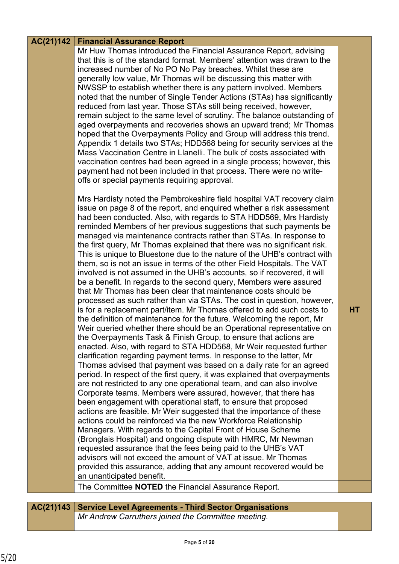### **Financial Assurance Report AC(21)142**

Mr Huw Thomas introduced the Financial Assurance Report, advising that this is of the standard format. Members' attention was drawn to the increased number of No PO No Pay breaches. Whilst these are generally low value, Mr Thomas will be discussing this matter with NWSSP to establish whether there is any pattern involved. Members noted that the number of Single Tender Actions (STAs) has significantly reduced from last year. Those STAs still being received, however, remain subject to the same level of scrutiny. The balance outstanding of aged overpayments and recoveries shows an upward trend; Mr Thomas hoped that the Overpayments Policy and Group will address this trend. Appendix 1 details two STAs; HDD568 being for security services at the Mass Vaccination Centre in Llanelli. The bulk of costs associated with vaccination centres had been agreed in a single process; however, this payment had not been included in that process. There were no writeoffs or special payments requiring approval.

Mrs Hardisty noted the Pembrokeshire field hospital VAT recovery claim issue on page 8 of the report, and enquired whether a risk assessment had been conducted. Also, with regards to STA HDD569, Mrs Hardisty reminded Members of her previous suggestions that such payments be managed via maintenance contracts rather than STAs. In response to the first query, Mr Thomas explained that there was no significant risk. This is unique to Bluestone due to the nature of the UHB's contract with them, so is not an issue in terms of the other Field Hospitals. The VAT involved is not assumed in the UHB's accounts, so if recovered, it will be a benefit. In regards to the second query, Members were assured that Mr Thomas has been clear that maintenance costs should be processed as such rather than via STAs. The cost in question, however, is for a replacement part/item. Mr Thomas offered to add such costs to the definition of maintenance for the future. Welcoming the report, Mr Weir queried whether there should be an Operational representative on the Overpayments Task & Finish Group, to ensure that actions are enacted. Also, with regard to STA HDD568, Mr Weir requested further clarification regarding payment terms. In response to the latter, Mr Thomas advised that payment was based on a daily rate for an agreed period. In respect of the first query, it was explained that overpayments are not restricted to any one operational team, and can also involve Corporate teams. Members were assured, however, that there has been engagement with operational staff, to ensure that proposed actions are feasible. Mr Weir suggested that the importance of these actions could be reinforced via the new Workforce Relationship Managers. With regards to the Capital Front of House Scheme (Bronglais Hospital) and ongoing dispute with HMRC, Mr Newman requested assurance that the fees being paid to the UHB's VAT advisors will not exceed the amount of VAT at issue. Mr Thomas provided this assurance, adding that any amount recovered would be an unanticipated benefit.

The Committee **NOTED** the Financial Assurance Report.

| AC(21)143 Service Level Agreements - Third Sector Organisations |
|-----------------------------------------------------------------|
| Mr Andrew Carruthers joined the Committee meeting.              |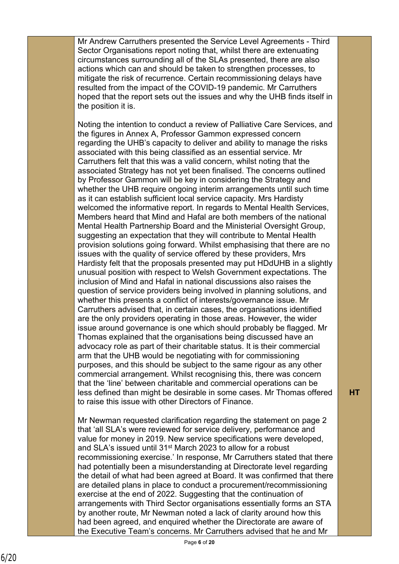Mr Andrew Carruthers presented the Service Level Agreements - Third Sector Organisations report noting that, whilst there are extenuating circumstances surrounding all of the SLAs presented, there are also actions which can and should be taken to strengthen processes, to mitigate the risk of recurrence. Certain recommissioning delays have resulted from the impact of the COVID-19 pandemic. Mr Carruthers hoped that the report sets out the issues and why the UHB finds itself in the position it is.

Noting the intention to conduct a review of Palliative Care Services, and the figures in Annex A, Professor Gammon expressed concern regarding the UHB's capacity to deliver and ability to manage the risks associated with this being classified as an essential service. Mr Carruthers felt that this was a valid concern, whilst noting that the associated Strategy has not yet been finalised. The concerns outlined by Professor Gammon will be key in considering the Strategy and whether the UHB require ongoing interim arrangements until such time as it can establish sufficient local service capacity. Mrs Hardisty welcomed the informative report. In regards to Mental Health Services, Members heard that Mind and Hafal are both members of the national Mental Health Partnership Board and the Ministerial Oversight Group, suggesting an expectation that they will contribute to Mental Health provision solutions going forward. Whilst emphasising that there are no issues with the quality of service offered by these providers, Mrs Hardisty felt that the proposals presented may put HDdUHB in a slightly unusual position with respect to Welsh Government expectations. The inclusion of Mind and Hafal in national discussions also raises the question of service providers being involved in planning solutions, and whether this presents a conflict of interests/governance issue. Mr Carruthers advised that, in certain cases, the organisations identified are the only providers operating in those areas. However, the wider issue around governance is one which should probably be flagged. Mr Thomas explained that the organisations being discussed have an advocacy role as part of their charitable status. It is their commercial arm that the UHB would be negotiating with for commissioning purposes, and this should be subject to the same rigour as any other commercial arrangement. Whilst recognising this, there was concern that the 'line' between charitable and commercial operations can be less defined than might be desirable in some cases. Mr Thomas offered to raise this issue with other Directors of Finance.

Mr Newman requested clarification regarding the statement on page 2 that 'all SLA's were reviewed for service delivery, performance and value for money in 2019. New service specifications were developed, and SLA's issued until 31<sup>st</sup> March 2023 to allow for a robust recommissioning exercise.' In response, Mr Carruthers stated that there had potentially been a misunderstanding at Directorate level regarding the detail of what had been agreed at Board. It was confirmed that there are detailed plans in place to conduct a procurement/recommissioning exercise at the end of 2022. Suggesting that the continuation of arrangements with Third Sector organisations essentially forms an STA by another route, Mr Newman noted a lack of clarity around how this had been agreed, and enquired whether the Directorate are aware of the Executive Team's concerns. Mr Carruthers advised that he and Mr

**HT**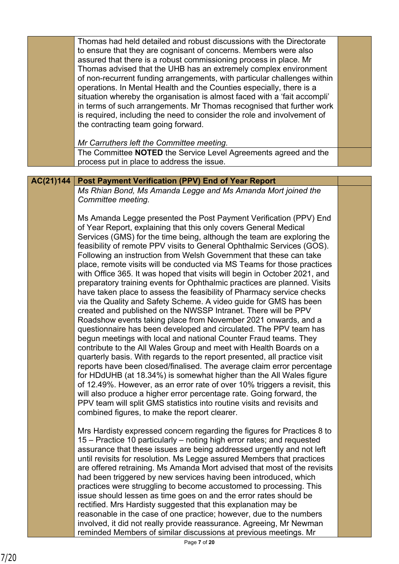|           | Thomas had held detailed and robust discussions with the Directorate<br>to ensure that they are cognisant of concerns. Members were also<br>assured that there is a robust commissioning process in place. Mr<br>Thomas advised that the UHB has an extremely complex environment<br>of non-recurrent funding arrangements, with particular challenges within<br>operations. In Mental Health and the Counties especially, there is a<br>situation whereby the organisation is almost faced with a 'fait accompli'<br>in terms of such arrangements. Mr Thomas recognised that further work<br>is required, including the need to consider the role and involvement of<br>the contracting team going forward.<br>Mr Carruthers left the Committee meeting.<br>The Committee NOTED the Service Level Agreements agreed and the                                                                                                                                                                                                                                                                                                                                                                                                                                                                                                                                                                                                                                                                                                                                                                                       |  |
|-----------|---------------------------------------------------------------------------------------------------------------------------------------------------------------------------------------------------------------------------------------------------------------------------------------------------------------------------------------------------------------------------------------------------------------------------------------------------------------------------------------------------------------------------------------------------------------------------------------------------------------------------------------------------------------------------------------------------------------------------------------------------------------------------------------------------------------------------------------------------------------------------------------------------------------------------------------------------------------------------------------------------------------------------------------------------------------------------------------------------------------------------------------------------------------------------------------------------------------------------------------------------------------------------------------------------------------------------------------------------------------------------------------------------------------------------------------------------------------------------------------------------------------------------------------------------------------------------------------------------------------------|--|
|           | process put in place to address the issue.                                                                                                                                                                                                                                                                                                                                                                                                                                                                                                                                                                                                                                                                                                                                                                                                                                                                                                                                                                                                                                                                                                                                                                                                                                                                                                                                                                                                                                                                                                                                                                          |  |
| AC(21)144 | Post Payment Verification (PPV) End of Year Report                                                                                                                                                                                                                                                                                                                                                                                                                                                                                                                                                                                                                                                                                                                                                                                                                                                                                                                                                                                                                                                                                                                                                                                                                                                                                                                                                                                                                                                                                                                                                                  |  |
|           | Ms Rhian Bond, Ms Amanda Legge and Ms Amanda Mort joined the<br>Committee meeting.                                                                                                                                                                                                                                                                                                                                                                                                                                                                                                                                                                                                                                                                                                                                                                                                                                                                                                                                                                                                                                                                                                                                                                                                                                                                                                                                                                                                                                                                                                                                  |  |
|           | Ms Amanda Legge presented the Post Payment Verification (PPV) End<br>of Year Report, explaining that this only covers General Medical<br>Services (GMS) for the time being, although the team are exploring the<br>feasibility of remote PPV visits to General Ophthalmic Services (GOS).<br>Following an instruction from Welsh Government that these can take<br>place, remote visits will be conducted via MS Teams for those practices<br>with Office 365. It was hoped that visits will begin in October 2021, and<br>preparatory training events for Ophthalmic practices are planned. Visits<br>have taken place to assess the feasibility of Pharmacy service checks<br>via the Quality and Safety Scheme. A video guide for GMS has been<br>created and published on the NWSSP Intranet. There will be PPV<br>Roadshow events taking place from November 2021 onwards, and a<br>questionnaire has been developed and circulated. The PPV team has<br>begun meetings with local and national Counter Fraud teams. They<br>contribute to the All Wales Group and meet with Health Boards on a<br>quarterly basis. With regards to the report presented, all practice visit<br>reports have been closed/finalised. The average claim error percentage<br>for HDdUHB (at 18.34%) is somewhat higher than the All Wales figure<br>of 12.49%. However, as an error rate of over 10% triggers a revisit, this<br>will also produce a higher error percentage rate. Going forward, the<br>PPV team will split GMS statistics into routine visits and revisits and<br>combined figures, to make the report clearer. |  |
|           | Mrs Hardisty expressed concern regarding the figures for Practices 8 to<br>15 – Practice 10 particularly – noting high error rates; and requested<br>assurance that these issues are being addressed urgently and not left<br>until revisits for resolution. Ms Legge assured Members that practices<br>are offered retraining. Ms Amanda Mort advised that most of the revisits<br>had been triggered by new services having been introduced, which<br>practices were struggling to become accustomed to processing. This<br>issue should lessen as time goes on and the error rates should be<br>rectified. Mrs Hardisty suggested that this explanation may be<br>reasonable in the case of one practice; however, due to the numbers<br>involved, it did not really provide reassurance. Agreeing, Mr Newman<br>reminded Members of similar discussions at previous meetings. Mr<br>$Dao \rightarrow \neg f$                                                                                                                                                                                                                                                                                                                                                                                                                                                                                                                                                                                                                                                                                                    |  |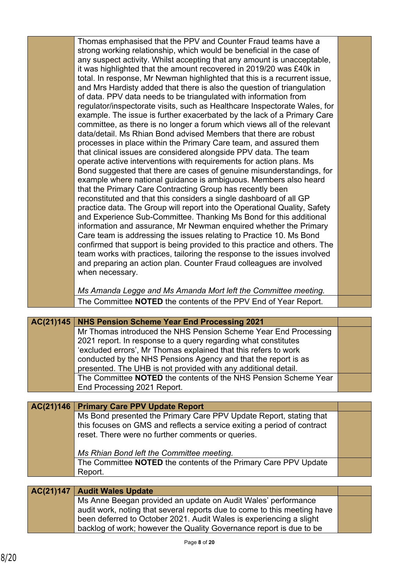Thomas emphasised that the PPV and Counter Fraud teams have a strong working relationship, which would be beneficial in the case of any suspect activity. Whilst accepting that any amount is unacceptable, it was highlighted that the amount recovered in 2019/20 was £40k in total. In response, Mr Newman highlighted that this is a recurrent issue, and Mrs Hardisty added that there is also the question of triangulation of data. PPV data needs to be triangulated with information from regulator/inspectorate visits, such as Healthcare Inspectorate Wales, for example. The issue is further exacerbated by the lack of a Primary Care committee, as there is no longer a forum which views all of the relevant data/detail. Ms Rhian Bond advised Members that there are robust processes in place within the Primary Care team, and assured them that clinical issues are considered alongside PPV data. The team operate active interventions with requirements for action plans. Ms Bond suggested that there are cases of genuine misunderstandings, for example where national guidance is ambiguous. Members also heard that the Primary Care Contracting Group has recently been reconstituted and that this considers a single dashboard of all GP practice data. The Group will report into the Operational Quality, Safety and Experience Sub-Committee. Thanking Ms Bond for this additional information and assurance, Mr Newman enquired whether the Primary Care team is addressing the issues relating to Practice 10. Ms Bond confirmed that support is being provided to this practice and others. The team works with practices, tailoring the response to the issues involved and preparing an action plan. Counter Fraud colleagues are involved when necessary.

*Ms Amanda Legge and Ms Amanda Mort left the Committee meeting.* The Committee **NOTED** the contents of the PPV End of Year Report.

| AC(21)145   NHS Pension Scheme Year End Processing 2021         |  |
|-----------------------------------------------------------------|--|
| Mr Thomas introduced the NHS Pension Scheme Year End Processing |  |
| 2021 report. In response to a query regarding what constitutes  |  |
| 'excluded errors', Mr Thomas explained that this refers to work |  |
| conducted by the NHS Pensions Agency and that the report is as  |  |
| presented. The UHB is not provided with any additional detail.  |  |
| The Committee NOTED the contents of the NHS Pension Scheme Year |  |
| End Processing 2021 Report.                                     |  |

**Primary Care PPV Update Report AC(21)146** Ms Bond presented the Primary Care PPV Update Report, stating that this focuses on GMS and reflects a service exiting a period of contract reset. There were no further comments or queries. *Ms Rhian Bond left the Committee meeting.* The Committee **NOTED** the contents of the Primary Care PPV Update Report.

# **AC(21)147 Audit Wales Update**

Ms Anne Beegan provided an update on Audit Wales' performance audit work, noting that several reports due to come to this meeting have been deferred to October 2021. Audit Wales is experiencing a slight backlog of work; however the Quality Governance report is due to be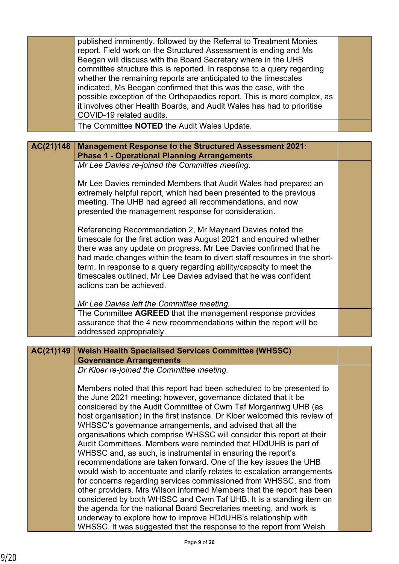|           | published imminently, followed by the Referral to Treatment Monies<br>report. Field work on the Structured Assessment is ending and Ms<br>Beegan will discuss with the Board Secretary where in the UHB<br>committee structure this is reported. In response to a query regarding<br>whether the remaining reports are anticipated to the timescales<br>indicated, Ms Beegan confirmed that this was the case, with the<br>possible exception of the Orthopaedics report. This is more complex, as<br>it involves other Health Boards, and Audit Wales has had to prioritise<br>COVID-19 related audits.<br>The Committee <b>NOTED</b> the Audit Wales Update. |  |
|-----------|----------------------------------------------------------------------------------------------------------------------------------------------------------------------------------------------------------------------------------------------------------------------------------------------------------------------------------------------------------------------------------------------------------------------------------------------------------------------------------------------------------------------------------------------------------------------------------------------------------------------------------------------------------------|--|
|           |                                                                                                                                                                                                                                                                                                                                                                                                                                                                                                                                                                                                                                                                |  |
| AC(21)148 | <b>Management Response to the Structured Assessment 2021:</b>                                                                                                                                                                                                                                                                                                                                                                                                                                                                                                                                                                                                  |  |
|           | <b>Phase 1 - Operational Planning Arrangements</b>                                                                                                                                                                                                                                                                                                                                                                                                                                                                                                                                                                                                             |  |
|           | Mr Lee Davies re-joined the Committee meeting.                                                                                                                                                                                                                                                                                                                                                                                                                                                                                                                                                                                                                 |  |
|           |                                                                                                                                                                                                                                                                                                                                                                                                                                                                                                                                                                                                                                                                |  |
|           | Mr Lee Davies reminded Members that Audit Wales had prepared an<br>extremely helpful report, which had been presented to the previous<br>meeting. The UHB had agreed all recommendations, and now<br>presented the management response for consideration.                                                                                                                                                                                                                                                                                                                                                                                                      |  |
|           | Referencing Recommendation 2, Mr Maynard Davies noted the<br>timescale for the first action was August 2021 and enquired whether<br>there was any update on progress. Mr Lee Davies confirmed that he<br>had made changes within the team to divert staff resources in the short-<br>term. In response to a query regarding ability/capacity to meet the<br>timescales outlined, Mr Lee Davies advised that he was confident<br>actions can be achieved.                                                                                                                                                                                                       |  |
|           |                                                                                                                                                                                                                                                                                                                                                                                                                                                                                                                                                                                                                                                                |  |
|           | Mr Lee Davies left the Committee meeting.<br>The Committee AGREED that the management response provides                                                                                                                                                                                                                                                                                                                                                                                                                                                                                                                                                        |  |
|           | assurance that the 4 new recommendations within the report will be                                                                                                                                                                                                                                                                                                                                                                                                                                                                                                                                                                                             |  |
|           | addressed appropriately.                                                                                                                                                                                                                                                                                                                                                                                                                                                                                                                                                                                                                                       |  |
|           |                                                                                                                                                                                                                                                                                                                                                                                                                                                                                                                                                                                                                                                                |  |
| AC(21)149 | <b>Welsh Health Specialised Services Committee (WHSSC)</b>                                                                                                                                                                                                                                                                                                                                                                                                                                                                                                                                                                                                     |  |
|           | <b>Governance Arrangements</b>                                                                                                                                                                                                                                                                                                                                                                                                                                                                                                                                                                                                                                 |  |
|           | Dr Kloer re-joined the Committee meeting.                                                                                                                                                                                                                                                                                                                                                                                                                                                                                                                                                                                                                      |  |
|           |                                                                                                                                                                                                                                                                                                                                                                                                                                                                                                                                                                                                                                                                |  |
|           | Members noted that this report had been scheduled to be presented to<br>the June 2021 meeting; however, governance dictated that it be<br>considered by the Audit Committee of Cwm Taf Morgannwg UHB (as                                                                                                                                                                                                                                                                                                                                                                                                                                                       |  |
|           | host organisation) in the first instance. Dr Kloer welcomed this review of                                                                                                                                                                                                                                                                                                                                                                                                                                                                                                                                                                                     |  |
|           | WHSSC's governance arrangements, and advised that all the<br>organisations which comprise WHSSC will consider this report at their                                                                                                                                                                                                                                                                                                                                                                                                                                                                                                                             |  |
|           | Audit Committees. Members were reminded that HDdUHB is part of                                                                                                                                                                                                                                                                                                                                                                                                                                                                                                                                                                                                 |  |
|           | WHSSC and, as such, is instrumental in ensuring the report's                                                                                                                                                                                                                                                                                                                                                                                                                                                                                                                                                                                                   |  |
|           | recommendations are taken forward. One of the key issues the UHB                                                                                                                                                                                                                                                                                                                                                                                                                                                                                                                                                                                               |  |
|           | would wish to accentuate and clarify relates to escalation arrangements                                                                                                                                                                                                                                                                                                                                                                                                                                                                                                                                                                                        |  |
|           | for concerns regarding services commissioned from WHSSC, and from                                                                                                                                                                                                                                                                                                                                                                                                                                                                                                                                                                                              |  |
|           | other providers. Mrs Wilson informed Members that the report has been                                                                                                                                                                                                                                                                                                                                                                                                                                                                                                                                                                                          |  |
|           | considered by both WHSSC and Cwm Taf UHB. It is a standing item on                                                                                                                                                                                                                                                                                                                                                                                                                                                                                                                                                                                             |  |
|           | the agenda for the national Board Secretaries meeting, and work is                                                                                                                                                                                                                                                                                                                                                                                                                                                                                                                                                                                             |  |
|           | underway to explore how to improve HDdUHB's relationship with                                                                                                                                                                                                                                                                                                                                                                                                                                                                                                                                                                                                  |  |
|           | WHSSC. It was suggested that the response to the report from Welsh                                                                                                                                                                                                                                                                                                                                                                                                                                                                                                                                                                                             |  |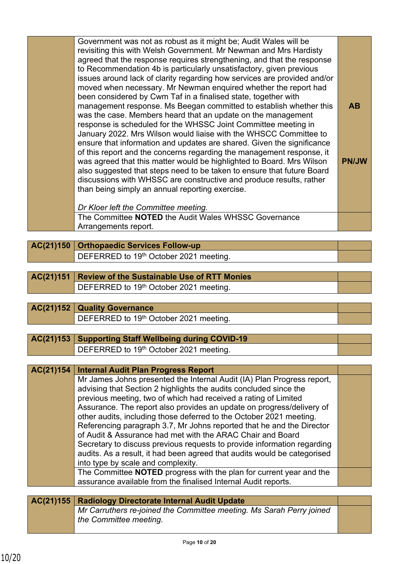| Government was not as robust as it might be; Audit Wales will be         |              |
|--------------------------------------------------------------------------|--------------|
| revisiting this with Welsh Government. Mr Newman and Mrs Hardisty        |              |
| agreed that the response requires strengthening, and that the response   |              |
| to Recommendation 4b is particularly unsatisfactory, given previous      |              |
| issues around lack of clarity regarding how services are provided and/or |              |
| moved when necessary. Mr Newman enquired whether the report had          |              |
| been considered by Cwm Taf in a finalised state, together with           |              |
| management response. Ms Beegan committed to establish whether this       | <b>AB</b>    |
| was the case. Members heard that an update on the management             |              |
| response is scheduled for the WHSSC Joint Committee meeting in           |              |
| January 2022. Mrs Wilson would liaise with the WHSCC Committee to        |              |
| ensure that information and updates are shared. Given the significance   |              |
| of this report and the concerns regarding the management response, it    |              |
| was agreed that this matter would be highlighted to Board. Mrs Wilson    | <b>PN/JW</b> |
| also suggested that steps need to be taken to ensure that future Board   |              |
| discussions with WHSSC are constructive and produce results, rather      |              |
| than being simply an annual reporting exercise.                          |              |
|                                                                          |              |
|                                                                          |              |

*Dr Kloer left the Committee meeting.*

The Committee **NOTED** the Audit Wales WHSSC Governance Arrangements report.

**AC(21)150 Orthopaedic Services Follow-up** DEFERRED to 19<sup>th</sup> October 2021 meeting.

# **AC(21)151 Review of the Sustainable Use of RTT Monies** DEFERRED to 19<sup>th</sup> October 2021 meeting.

| AC(21)152 Quality Governance                       |  |
|----------------------------------------------------|--|
| DEFERRED to 19 <sup>th</sup> October 2021 meeting. |  |

### **AC(21)153 Supporting Staff Wellbeing during COVID-19** DEFERRED to 19<sup>th</sup> October 2021 meeting.

| AC(21)154 | <b>Internal Audit Plan Progress Report</b>                                                                                                                                                                                                                                                                                                                                                                                                                                                                                                                                                                                                                                                         |  |
|-----------|----------------------------------------------------------------------------------------------------------------------------------------------------------------------------------------------------------------------------------------------------------------------------------------------------------------------------------------------------------------------------------------------------------------------------------------------------------------------------------------------------------------------------------------------------------------------------------------------------------------------------------------------------------------------------------------------------|--|
|           | Mr James Johns presented the Internal Audit (IA) Plan Progress report,<br>advising that Section 2 highlights the audits concluded since the<br>previous meeting, two of which had received a rating of Limited<br>Assurance. The report also provides an update on progress/delivery of<br>other audits, including those deferred to the October 2021 meeting.<br>Referencing paragraph 3.7, Mr Johns reported that he and the Director<br>of Audit & Assurance had met with the ARAC Chair and Board<br>Secretary to discuss previous requests to provide information regarding<br>audits. As a result, it had been agreed that audits would be categorised<br>into type by scale and complexity. |  |
|           | The Committee <b>NOTED</b> progress with the plan for current year and the<br>assurance available from the finalised Internal Audit reports.                                                                                                                                                                                                                                                                                                                                                                                                                                                                                                                                                       |  |
|           |                                                                                                                                                                                                                                                                                                                                                                                                                                                                                                                                                                                                                                                                                                    |  |
|           |                                                                                                                                                                                                                                                                                                                                                                                                                                                                                                                                                                                                                                                                                                    |  |
| AC(21)155 | <b>Radiology Directorate Internal Audit Update</b>                                                                                                                                                                                                                                                                                                                                                                                                                                                                                                                                                                                                                                                 |  |

*Mr Carruthers re-joined the Committee meeting. Ms Sarah Perry joined the Committee meeting.*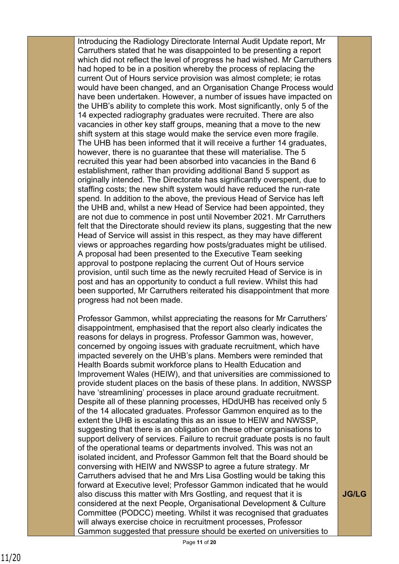Introducing the Radiology Directorate Internal Audit Update report, Mr Carruthers stated that he was disappointed to be presenting a report which did not reflect the level of progress he had wished. Mr Carruthers had hoped to be in a position whereby the process of replacing the current Out of Hours service provision was almost complete; ie rotas would have been changed, and an Organisation Change Process would have been undertaken. However, a number of issues have impacted on the UHB's ability to complete this work. Most significantly, only 5 of the 14 expected radiography graduates were recruited. There are also vacancies in other key staff groups, meaning that a move to the new shift system at this stage would make the service even more fragile. The UHB has been informed that it will receive a further 14 graduates, however, there is no guarantee that these will materialise. The 5 recruited this year had been absorbed into vacancies in the Band 6 establishment, rather than providing additional Band 5 support as originally intended. The Directorate has significantly overspent, due to staffing costs; the new shift system would have reduced the run-rate spend. In addition to the above, the previous Head of Service has left the UHB and, whilst a new Head of Service had been appointed, they are not due to commence in post until November 2021. Mr Carruthers felt that the Directorate should review its plans, suggesting that the new Head of Service will assist in this respect, as they may have different views or approaches regarding how posts/graduates might be utilised. A proposal had been presented to the Executive Team seeking approval to postpone replacing the current Out of Hours service provision, until such time as the newly recruited Head of Service is in post and has an opportunity to conduct a full review. Whilst this had been supported, Mr Carruthers reiterated his disappointment that more progress had not been made.

Professor Gammon, whilst appreciating the reasons for Mr Carruthers' disappointment, emphasised that the report also clearly indicates the reasons for delays in progress. Professor Gammon was, however, concerned by ongoing issues with graduate recruitment, which have impacted severely on the UHB's plans. Members were reminded that Health Boards submit workforce plans to Health Education and Improvement Wales (HEIW), and that universities are commissioned to provide student places on the basis of these plans. In addition, NWSSP have 'streamlining' processes in place around graduate recruitment. Despite all of these planning processes, HDdUHB has received only 5 of the 14 allocated graduates. Professor Gammon enquired as to the extent the UHB is escalating this as an issue to HEIW and NWSSP, suggesting that there is an obligation on these other organisations to support delivery of services. Failure to recruit graduate posts is no fault of the operational teams or departments involved. This was not an isolated incident, and Professor Gammon felt that the Board should be conversing with HEIW and NWSSP to agree a future strategy. Mr Carruthers advised that he and Mrs Lisa Gostling would be taking this forward at Executive level; Professor Gammon indicated that he would also discuss this matter with Mrs Gostling, and request that it is considered at the next People, Organisational Development & Culture Committee (PODCC) meeting. Whilst it was recognised that graduates will always exercise choice in recruitment processes, Professor Gammon suggested that pressure should be exerted on universities to

**JG/LG**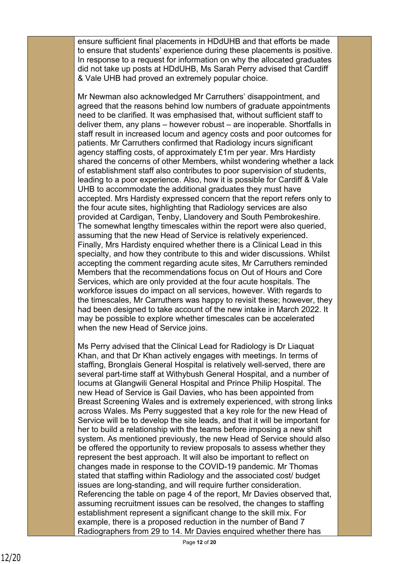ensure sufficient final placements in HDdUHB and that efforts be made to ensure that students' experience during these placements is positive. In response to a request for information on why the allocated graduates did not take up posts at HDdUHB, Ms Sarah Perry advised that Cardiff & Vale UHB had proved an extremely popular choice.

Mr Newman also acknowledged Mr Carruthers' disappointment, and agreed that the reasons behind low numbers of graduate appointments need to be clarified. It was emphasised that, without sufficient staff to deliver them, any plans – however robust – are inoperable. Shortfalls in staff result in increased locum and agency costs and poor outcomes for patients. Mr Carruthers confirmed that Radiology incurs significant agency staffing costs, of approximately £1m per year. Mrs Hardisty shared the concerns of other Members, whilst wondering whether a lack of establishment staff also contributes to poor supervision of students, leading to a poor experience. Also, how it is possible for Cardiff & Vale UHB to accommodate the additional graduates they must have accepted. Mrs Hardisty expressed concern that the report refers only to the four acute sites, highlighting that Radiology services are also provided at Cardigan, Tenby, Llandovery and South Pembrokeshire. The somewhat lengthy timescales within the report were also queried, assuming that the new Head of Service is relatively experienced. Finally, Mrs Hardisty enquired whether there is a Clinical Lead in this specialty, and how they contribute to this and wider discussions. Whilst accepting the comment regarding acute sites, Mr Carruthers reminded Members that the recommendations focus on Out of Hours and Core Services, which are only provided at the four acute hospitals. The workforce issues do impact on all services, however. With regards to the timescales, Mr Carruthers was happy to revisit these; however, they had been designed to take account of the new intake in March 2022. It may be possible to explore whether timescales can be accelerated when the new Head of Service joins.

Ms Perry advised that the Clinical Lead for Radiology is Dr Liaquat Khan, and that Dr Khan actively engages with meetings. In terms of staffing, Bronglais General Hospital is relatively well-served, there are several part-time staff at Withybush General Hospital, and a number of locums at Glangwili General Hospital and Prince Philip Hospital. The new Head of Service is Gail Davies, who has been appointed from Breast Screening Wales and is extremely experienced, with strong links across Wales. Ms Perry suggested that a key role for the new Head of Service will be to develop the site leads, and that it will be important for her to build a relationship with the teams before imposing a new shift system. As mentioned previously, the new Head of Service should also be offered the opportunity to review proposals to assess whether they represent the best approach. It will also be important to reflect on changes made in response to the COVID-19 pandemic. Mr Thomas stated that staffing within Radiology and the associated cost/ budget issues are long-standing, and will require further consideration. Referencing the table on page 4 of the report, Mr Davies observed that, assuming recruitment issues can be resolved, the changes to staffing establishment represent a significant change to the skill mix. For example, there is a proposed reduction in the number of Band 7 Radiographers from 29 to 14. Mr Davies enquired whether there has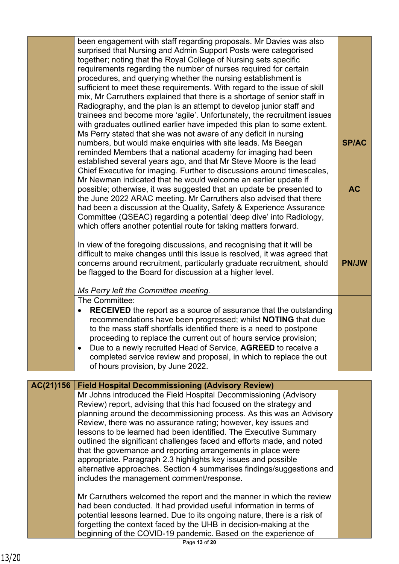|           | been engagement with staff regarding proposals. Mr Davies was also<br>surprised that Nursing and Admin Support Posts were categorised<br>together; noting that the Royal College of Nursing sets specific<br>requirements regarding the number of nurses required for certain<br>procedures, and querying whether the nursing establishment is<br>sufficient to meet these requirements. With regard to the issue of skill<br>mix, Mr Carruthers explained that there is a shortage of senior staff in<br>Radiography, and the plan is an attempt to develop junior staff and<br>trainees and become more 'agile'. Unfortunately, the recruitment issues<br>with graduates outlined earlier have impeded this plan to some extent.<br>Ms Perry stated that she was not aware of any deficit in nursing<br>numbers, but would make enquiries with site leads. Ms Beegan<br>reminded Members that a national academy for imaging had been<br>established several years ago, and that Mr Steve Moore is the lead<br>Chief Executive for imaging. Further to discussions around timescales,<br>Mr Newman indicated that he would welcome an earlier update if<br>possible; otherwise, it was suggested that an update be presented to<br>the June 2022 ARAC meeting. Mr Carruthers also advised that there<br>had been a discussion at the Quality, Safety & Experience Assurance<br>Committee (QSEAC) regarding a potential 'deep dive' into Radiology,<br>which offers another potential route for taking matters forward.<br>In view of the foregoing discussions, and recognising that it will be<br>difficult to make changes until this issue is resolved, it was agreed that<br>concerns around recruitment, particularly graduate recruitment, should<br>be flagged to the Board for discussion at a higher level.<br>Ms Perry left the Committee meeting. | <b>SP/AC</b><br><b>AC</b><br><b>PN/JW</b> |
|-----------|----------------------------------------------------------------------------------------------------------------------------------------------------------------------------------------------------------------------------------------------------------------------------------------------------------------------------------------------------------------------------------------------------------------------------------------------------------------------------------------------------------------------------------------------------------------------------------------------------------------------------------------------------------------------------------------------------------------------------------------------------------------------------------------------------------------------------------------------------------------------------------------------------------------------------------------------------------------------------------------------------------------------------------------------------------------------------------------------------------------------------------------------------------------------------------------------------------------------------------------------------------------------------------------------------------------------------------------------------------------------------------------------------------------------------------------------------------------------------------------------------------------------------------------------------------------------------------------------------------------------------------------------------------------------------------------------------------------------------------------------------------------------------------------------------------------------------------------------------------------|-------------------------------------------|
|           | The Committee:<br><b>RECEIVED</b> the report as a source of assurance that the outstanding<br>$\bullet$<br>recommendations have been progressed; whilst <b>NOTING</b> that due<br>to the mass staff shortfalls identified there is a need to postpone<br>proceeding to replace the current out of hours service provision;<br>Due to a newly recruited Head of Service, AGREED to receive a<br>$\bullet$<br>completed service review and proposal, in which to replace the out<br>of hours provision, by June 2022.                                                                                                                                                                                                                                                                                                                                                                                                                                                                                                                                                                                                                                                                                                                                                                                                                                                                                                                                                                                                                                                                                                                                                                                                                                                                                                                                            |                                           |
| AC(21)156 | <b>Field Hospital Decommissioning (Advisory Review)</b>                                                                                                                                                                                                                                                                                                                                                                                                                                                                                                                                                                                                                                                                                                                                                                                                                                                                                                                                                                                                                                                                                                                                                                                                                                                                                                                                                                                                                                                                                                                                                                                                                                                                                                                                                                                                        |                                           |
|           | Mr Johns introduced the Field Hospital Decommissioning (Advisory<br>Review) report, advising that this had focused on the strategy and<br>planning around the decommissioning process. As this was an Advisory<br>Review, there was no assurance rating; however, key issues and<br>lessons to be learned had been identified. The Executive Summary<br>outlined the significant challenges faced and efforts made, and noted<br>that the governance and reporting arrangements in place were<br>appropriate. Paragraph 2.3 highlights key issues and possible<br>alternative approaches. Section 4 summarises findings/suggestions and<br>includes the management comment/response.                                                                                                                                                                                                                                                                                                                                                                                                                                                                                                                                                                                                                                                                                                                                                                                                                                                                                                                                                                                                                                                                                                                                                                           |                                           |
|           | Mr Carruthers welcomed the report and the manner in which the review<br>had been conducted. It had provided useful information in terms of<br>potential lessons learned. Due to its ongoing nature, there is a risk of<br>forgetting the context faced by the UHB in decision-making at the<br>beginning of the COVID-19 pandemic. Based on the experience of                                                                                                                                                                                                                                                                                                                                                                                                                                                                                                                                                                                                                                                                                                                                                                                                                                                                                                                                                                                                                                                                                                                                                                                                                                                                                                                                                                                                                                                                                                  |                                           |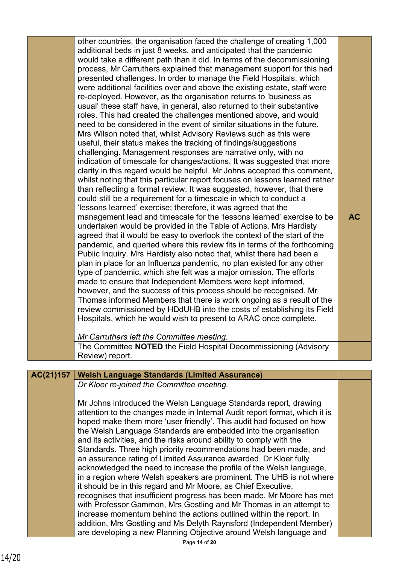|    | other countries, the organisation faced the challenge of creating 1,000                                                                        |           |
|----|------------------------------------------------------------------------------------------------------------------------------------------------|-----------|
|    | additional beds in just 8 weeks, and anticipated that the pandemic<br>would take a different path than it did. In terms of the decommissioning |           |
|    |                                                                                                                                                |           |
|    | process, Mr Carruthers explained that management support for this had                                                                          |           |
|    | presented challenges. In order to manage the Field Hospitals, which                                                                            |           |
|    | were additional facilities over and above the existing estate, staff were                                                                      |           |
|    | re-deployed. However, as the organisation returns to 'business as                                                                              |           |
|    | usual' these staff have, in general, also returned to their substantive                                                                        |           |
|    | roles. This had created the challenges mentioned above, and would<br>need to be considered in the event of similar situations in the future.   |           |
|    |                                                                                                                                                |           |
|    | Mrs Wilson noted that, whilst Advisory Reviews such as this were                                                                               |           |
|    | useful, their status makes the tracking of findings/suggestions                                                                                |           |
|    | challenging. Management responses are narrative only, with no                                                                                  |           |
|    | indication of timescale for changes/actions. It was suggested that more                                                                        |           |
|    | clarity in this regard would be helpful. Mr Johns accepted this comment,                                                                       |           |
|    | whilst noting that this particular report focuses on lessons learned rather                                                                    |           |
|    | than reflecting a formal review. It was suggested, however, that there                                                                         |           |
|    | could still be a requirement for a timescale in which to conduct a                                                                             |           |
|    | 'lessons learned' exercise; therefore, it was agreed that the<br>management lead and timescale for the 'lessons learned' exercise to be        | <b>AC</b> |
|    | undertaken would be provided in the Table of Actions. Mrs Hardisty                                                                             |           |
|    | agreed that it would be easy to overlook the context of the start of the                                                                       |           |
|    | pandemic, and queried where this review fits in terms of the forthcoming                                                                       |           |
|    | Public Inquiry. Mrs Hardisty also noted that, whilst there had been a                                                                          |           |
|    | plan in place for an Influenza pandemic, no plan existed for any other                                                                         |           |
|    | type of pandemic, which she felt was a major omission. The efforts                                                                             |           |
|    | made to ensure that Independent Members were kept informed,                                                                                    |           |
|    | however, and the success of this process should be recognised. Mr                                                                              |           |
|    | Thomas informed Members that there is work ongoing as a result of the                                                                          |           |
|    | review commissioned by HDdUHB into the costs of establishing its Field                                                                         |           |
|    | Hospitals, which he would wish to present to ARAC once complete.                                                                               |           |
|    |                                                                                                                                                |           |
|    | Mr Carruthers left the Committee meeting.                                                                                                      |           |
|    | The Committee <b>NOTED</b> the Field Hospital Decommissioning (Advisory                                                                        |           |
|    | Review) report.                                                                                                                                |           |
|    |                                                                                                                                                |           |
| 57 | <b>Welsh Language Standards (Limited Assurance)</b>                                                                                            |           |
|    | Dr Kloer re-joined the Committee meeting.                                                                                                      |           |
|    | Mr Johns introduced the Welsh Language Standards report, drawing                                                                               |           |
|    | attention to the changes made in Internal Audit report format, which it is                                                                     |           |
|    |                                                                                                                                                |           |

| AC(21)157 | <b>Welsh Language Standards (Limited Assurance)</b>                        |  |
|-----------|----------------------------------------------------------------------------|--|
|           | Dr Kloer re-joined the Committee meeting.                                  |  |
|           |                                                                            |  |
|           | Mr Johns introduced the Welsh Language Standards report, drawing           |  |
|           | attention to the changes made in Internal Audit report format, which it is |  |
|           | hoped make them more 'user friendly'. This audit had focused on how        |  |
|           | the Welsh Language Standards are embedded into the organisation            |  |
|           | and its activities, and the risks around ability to comply with the        |  |
|           | Standards. Three high priority recommendations had been made, and          |  |
|           | an assurance rating of Limited Assurance awarded. Dr Kloer fully           |  |
|           | acknowledged the need to increase the profile of the Welsh language,       |  |
|           | in a region where Welsh speakers are prominent. The UHB is not where       |  |
|           | it should be in this regard and Mr Moore, as Chief Executive,              |  |
|           | recognises that insufficient progress has been made. Mr Moore has met      |  |
|           | with Professor Gammon, Mrs Gostling and Mr Thomas in an attempt to         |  |
|           | increase momentum behind the actions outlined within the report. In        |  |
|           | addition, Mrs Gostling and Ms Delyth Raynsford (Independent Member)        |  |
|           | are developing a new Planning Objective around Welsh language and          |  |
|           | Page 14 of 20                                                              |  |
|           |                                                                            |  |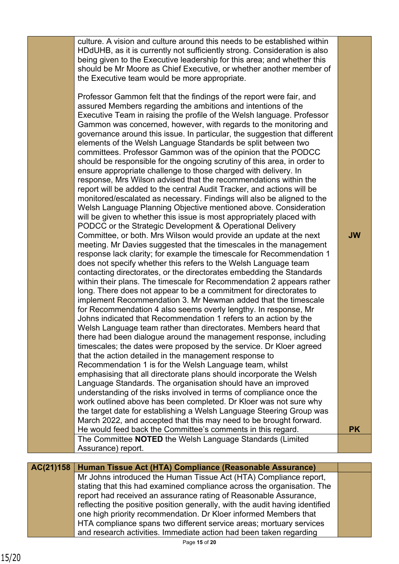culture. A vision and culture around this needs to be established within HDdUHB, as it is currently not sufficiently strong. Consideration is also being given to the Executive leadership for this area; and whether this should be Mr Moore as Chief Executive, or whether another member of the Executive team would be more appropriate. Professor Gammon felt that the findings of the report were fair, and assured Members regarding the ambitions and intentions of the Executive Team in raising the profile of the Welsh language. Professor Gammon was concerned, however, with regards to the monitoring and governance around this issue. In particular, the suggestion that different elements of the Welsh Language Standards be split between two committees. Professor Gammon was of the opinion that the PODCC should be responsible for the ongoing scrutiny of this area, in order to ensure appropriate challenge to those charged with delivery. In response, Mrs Wilson advised that the recommendations within the report will be added to the central Audit Tracker, and actions will be monitored/escalated as necessary. Findings will also be aligned to the Welsh Language Planning Objective mentioned above. Consideration will be given to whether this issue is most appropriately placed with PODCC or the Strategic Development & Operational Delivery Committee, or both. Mrs Wilson would provide an update at the next meeting. Mr Davies suggested that the timescales in the management response lack clarity; for example the timescale for Recommendation 1 does not specify whether this refers to the Welsh Language team contacting directorates, or the directorates embedding the Standards within their plans. The timescale for Recommendation 2 appears rather long. There does not appear to be a commitment for directorates to implement Recommendation 3. Mr Newman added that the timescale for Recommendation 4 also seems overly lengthy. In response, Mr Johns indicated that Recommendation 1 refers to an action by the Welsh Language team rather than directorates. Members heard that there had been dialogue around the management response, including timescales; the dates were proposed by the service. Dr Kloer agreed **JW**

that the action detailed in the management response to Recommendation 1 is for the Welsh Language team, whilst emphasising that all directorate plans should incorporate the Welsh Language Standards. The organisation should have an improved understanding of the risks involved in terms of compliance once the work outlined above has been completed. Dr Kloer was not sure why the target date for establishing a Welsh Language Steering Group was March 2022, and accepted that this may need to be brought forward. He would feed back the Committee's comments in this regard. The Committee **NOTED** the Welsh Language Standards (Limited Assurance) report.

**PK**

### **AC(21)158 Human Tissue Act (HTA) Compliance (Reasonable Assurance)** Mr Johns introduced the Human Tissue Act (HTA) Compliance report, stating that this had examined compliance across the organisation. The report had received an assurance rating of Reasonable Assurance, reflecting the positive position generally, with the audit having identified one high priority recommendation. Dr Kloer informed Members that HTA compliance spans two different service areas; mortuary services and research activities. Immediate action had been taken regarding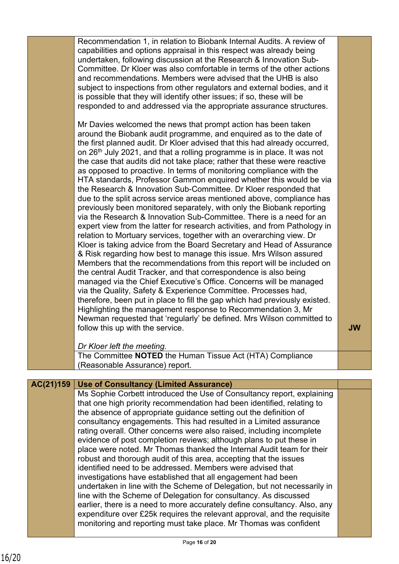|           | Recommendation 1, in relation to Biobank Internal Audits. A review of<br>capabilities and options appraisal in this respect was already being<br>undertaken, following discussion at the Research & Innovation Sub-<br>Committee. Dr Kloer was also comfortable in terms of the other actions<br>and recommendations. Members were advised that the UHB is also<br>subject to inspections from other regulators and external bodies, and it<br>is possible that they will identify other issues; if so, these will be<br>responded to and addressed via the appropriate assurance structures.<br>Mr Davies welcomed the news that prompt action has been taken<br>around the Biobank audit programme, and enquired as to the date of<br>the first planned audit. Dr Kloer advised that this had already occurred,<br>on 26 <sup>th</sup> July 2021, and that a rolling programme is in place. It was not<br>the case that audits did not take place; rather that these were reactive<br>as opposed to proactive. In terms of monitoring compliance with the<br>HTA standards, Professor Gammon enquired whether this would be via<br>the Research & Innovation Sub-Committee. Dr Kloer responded that<br>due to the split across service areas mentioned above, compliance has<br>previously been monitored separately, with only the Biobank reporting<br>via the Research & Innovation Sub-Committee. There is a need for an<br>expert view from the latter for research activities, and from Pathology in<br>relation to Mortuary services, together with an overarching view. Dr<br>Kloer is taking advice from the Board Secretary and Head of Assurance<br>& Risk regarding how best to manage this issue. Mrs Wilson assured<br>Members that the recommendations from this report will be included on<br>the central Audit Tracker, and that correspondence is also being<br>managed via the Chief Executive's Office. Concerns will be managed<br>via the Quality, Safety & Experience Committee. Processes had,<br>therefore, been put in place to fill the gap which had previously existed.<br>Highlighting the management response to Recommendation 3, Mr<br>Newman requested that 'regularly' be defined. Mrs Wilson committed to<br>follow this up with the service.<br>Dr Kloer left the meeting. | <b>JW</b> |
|-----------|-------------------------------------------------------------------------------------------------------------------------------------------------------------------------------------------------------------------------------------------------------------------------------------------------------------------------------------------------------------------------------------------------------------------------------------------------------------------------------------------------------------------------------------------------------------------------------------------------------------------------------------------------------------------------------------------------------------------------------------------------------------------------------------------------------------------------------------------------------------------------------------------------------------------------------------------------------------------------------------------------------------------------------------------------------------------------------------------------------------------------------------------------------------------------------------------------------------------------------------------------------------------------------------------------------------------------------------------------------------------------------------------------------------------------------------------------------------------------------------------------------------------------------------------------------------------------------------------------------------------------------------------------------------------------------------------------------------------------------------------------------------------------------------------------------------------------------------------------------------------------------------------------------------------------------------------------------------------------------------------------------------------------------------------------------------------------------------------------------------------------------------------------------------------------------------------------------------------------------------------------------------------------------------------------------------------|-----------|
|           |                                                                                                                                                                                                                                                                                                                                                                                                                                                                                                                                                                                                                                                                                                                                                                                                                                                                                                                                                                                                                                                                                                                                                                                                                                                                                                                                                                                                                                                                                                                                                                                                                                                                                                                                                                                                                                                                                                                                                                                                                                                                                                                                                                                                                                                                                                                   |           |
|           | The Committee NOTED the Human Tissue Act (HTA) Compliance<br>(Reasonable Assurance) report.                                                                                                                                                                                                                                                                                                                                                                                                                                                                                                                                                                                                                                                                                                                                                                                                                                                                                                                                                                                                                                                                                                                                                                                                                                                                                                                                                                                                                                                                                                                                                                                                                                                                                                                                                                                                                                                                                                                                                                                                                                                                                                                                                                                                                       |           |
|           |                                                                                                                                                                                                                                                                                                                                                                                                                                                                                                                                                                                                                                                                                                                                                                                                                                                                                                                                                                                                                                                                                                                                                                                                                                                                                                                                                                                                                                                                                                                                                                                                                                                                                                                                                                                                                                                                                                                                                                                                                                                                                                                                                                                                                                                                                                                   |           |
| AC(21)159 | <b>Use of Consultancy (Limited Assurance)</b>                                                                                                                                                                                                                                                                                                                                                                                                                                                                                                                                                                                                                                                                                                                                                                                                                                                                                                                                                                                                                                                                                                                                                                                                                                                                                                                                                                                                                                                                                                                                                                                                                                                                                                                                                                                                                                                                                                                                                                                                                                                                                                                                                                                                                                                                     |           |
|           | Ms Sophie Corbett introduced the Use of Consultancy report, explaining<br>that one high priority recommendation had been identified, relating to<br>the absence of appropriate guidance setting out the definition of<br>consultancy engagements. This had resulted in a Limited assurance<br>rating overall. Other concerns were also raised, including incomplete<br>evidence of post completion reviews; although plans to put these in<br>place were noted. Mr Thomas thanked the Internal Audit team for their<br>robust and thorough audit of this area, accepting that the issues<br>identified need to be addressed. Members were advised that<br>investigations have established that all engagement had been<br>undertaken in line with the Scheme of Delegation, but not necessarily in<br>line with the Scheme of Delegation for consultancy. As discussed<br>earlier, there is a need to more accurately define consultancy. Also, any<br>expenditure over £25k requires the relevant approval, and the requisite<br>monitoring and reporting must take place. Mr Thomas was confident                                                                                                                                                                                                                                                                                                                                                                                                                                                                                                                                                                                                                                                                                                                                                                                                                                                                                                                                                                                                                                                                                                                                                                                                               |           |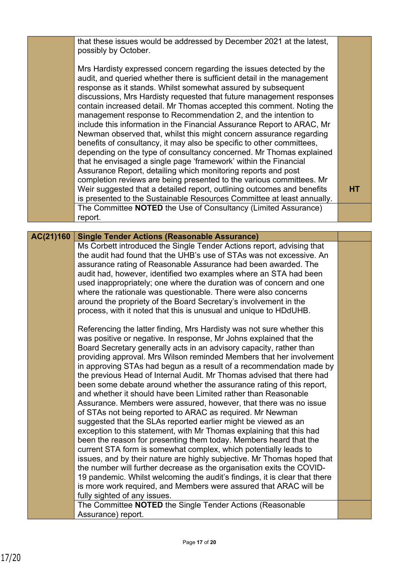|           | that these issues would be addressed by December 2021 at the latest,<br>possibly by October.                                                                                                                                                                                                                                                                                                                                                                                                                                                                                                                                                                                                                                                                                                                                                                                                                                                                                                                             |           |
|-----------|--------------------------------------------------------------------------------------------------------------------------------------------------------------------------------------------------------------------------------------------------------------------------------------------------------------------------------------------------------------------------------------------------------------------------------------------------------------------------------------------------------------------------------------------------------------------------------------------------------------------------------------------------------------------------------------------------------------------------------------------------------------------------------------------------------------------------------------------------------------------------------------------------------------------------------------------------------------------------------------------------------------------------|-----------|
|           |                                                                                                                                                                                                                                                                                                                                                                                                                                                                                                                                                                                                                                                                                                                                                                                                                                                                                                                                                                                                                          |           |
|           | Mrs Hardisty expressed concern regarding the issues detected by the<br>audit, and queried whether there is sufficient detail in the management<br>response as it stands. Whilst somewhat assured by subsequent<br>discussions, Mrs Hardisty requested that future management responses<br>contain increased detail. Mr Thomas accepted this comment. Noting the<br>management response to Recommendation 2, and the intention to<br>include this information in the Financial Assurance Report to ARAC, Mr<br>Newman observed that, whilst this might concern assurance regarding<br>benefits of consultancy, it may also be specific to other committees,<br>depending on the type of consultancy concerned. Mr Thomas explained<br>that he envisaged a single page 'framework' within the Financial<br>Assurance Report, detailing which monitoring reports and post<br>completion reviews are being presented to the various committees. Mr<br>Weir suggested that a detailed report, outlining outcomes and benefits | <b>HT</b> |
|           | is presented to the Sustainable Resources Committee at least annually.                                                                                                                                                                                                                                                                                                                                                                                                                                                                                                                                                                                                                                                                                                                                                                                                                                                                                                                                                   |           |
|           | The Committee NOTED the Use of Consultancy (Limited Assurance)<br>report.                                                                                                                                                                                                                                                                                                                                                                                                                                                                                                                                                                                                                                                                                                                                                                                                                                                                                                                                                |           |
|           |                                                                                                                                                                                                                                                                                                                                                                                                                                                                                                                                                                                                                                                                                                                                                                                                                                                                                                                                                                                                                          |           |
| AC(21)160 | <b>Single Tender Actions (Reasonable Assurance)</b>                                                                                                                                                                                                                                                                                                                                                                                                                                                                                                                                                                                                                                                                                                                                                                                                                                                                                                                                                                      |           |
|           | Ms Corbett introduced the Single Tender Actions report, advising that                                                                                                                                                                                                                                                                                                                                                                                                                                                                                                                                                                                                                                                                                                                                                                                                                                                                                                                                                    |           |
|           | the audit had found that the UHB's use of STAs was not excessive. An                                                                                                                                                                                                                                                                                                                                                                                                                                                                                                                                                                                                                                                                                                                                                                                                                                                                                                                                                     |           |
|           | assurance rating of Reasonable Assurance had been awarded. The                                                                                                                                                                                                                                                                                                                                                                                                                                                                                                                                                                                                                                                                                                                                                                                                                                                                                                                                                           |           |
|           | audit had, however, identified two examples where an STA had been                                                                                                                                                                                                                                                                                                                                                                                                                                                                                                                                                                                                                                                                                                                                                                                                                                                                                                                                                        |           |
|           | used inappropriately; one where the duration was of concern and one<br>where the rationale was questionable. There were also concerns                                                                                                                                                                                                                                                                                                                                                                                                                                                                                                                                                                                                                                                                                                                                                                                                                                                                                    |           |
|           | around the propriety of the Board Secretary's involvement in the                                                                                                                                                                                                                                                                                                                                                                                                                                                                                                                                                                                                                                                                                                                                                                                                                                                                                                                                                         |           |
|           | process, with it noted that this is unusual and unique to HDdUHB.                                                                                                                                                                                                                                                                                                                                                                                                                                                                                                                                                                                                                                                                                                                                                                                                                                                                                                                                                        |           |
|           |                                                                                                                                                                                                                                                                                                                                                                                                                                                                                                                                                                                                                                                                                                                                                                                                                                                                                                                                                                                                                          |           |
|           | Referencing the latter finding, Mrs Hardisty was not sure whether this                                                                                                                                                                                                                                                                                                                                                                                                                                                                                                                                                                                                                                                                                                                                                                                                                                                                                                                                                   |           |
|           | was positive or negative. In response, Mr Johns explained that the                                                                                                                                                                                                                                                                                                                                                                                                                                                                                                                                                                                                                                                                                                                                                                                                                                                                                                                                                       |           |
|           | Board Secretary generally acts in an advisory capacity, rather than                                                                                                                                                                                                                                                                                                                                                                                                                                                                                                                                                                                                                                                                                                                                                                                                                                                                                                                                                      |           |
|           | providing approval. Mrs Wilson reminded Members that her involvement                                                                                                                                                                                                                                                                                                                                                                                                                                                                                                                                                                                                                                                                                                                                                                                                                                                                                                                                                     |           |
|           | in approving STAs had begun as a result of a recommendation made by                                                                                                                                                                                                                                                                                                                                                                                                                                                                                                                                                                                                                                                                                                                                                                                                                                                                                                                                                      |           |
|           | the previous Head of Internal Audit. Mr Thomas advised that there had<br>been some debate around whether the assurance rating of this report,                                                                                                                                                                                                                                                                                                                                                                                                                                                                                                                                                                                                                                                                                                                                                                                                                                                                            |           |
|           | and whether it should have been Limited rather than Reasonable                                                                                                                                                                                                                                                                                                                                                                                                                                                                                                                                                                                                                                                                                                                                                                                                                                                                                                                                                           |           |
|           | Assurance. Members were assured, however, that there was no issue                                                                                                                                                                                                                                                                                                                                                                                                                                                                                                                                                                                                                                                                                                                                                                                                                                                                                                                                                        |           |
|           | of STAs not being reported to ARAC as required. Mr Newman                                                                                                                                                                                                                                                                                                                                                                                                                                                                                                                                                                                                                                                                                                                                                                                                                                                                                                                                                                |           |
|           | suggested that the SLAs reported earlier might be viewed as an                                                                                                                                                                                                                                                                                                                                                                                                                                                                                                                                                                                                                                                                                                                                                                                                                                                                                                                                                           |           |
|           | exception to this statement, with Mr Thomas explaining that this had                                                                                                                                                                                                                                                                                                                                                                                                                                                                                                                                                                                                                                                                                                                                                                                                                                                                                                                                                     |           |
|           | been the reason for presenting them today. Members heard that the                                                                                                                                                                                                                                                                                                                                                                                                                                                                                                                                                                                                                                                                                                                                                                                                                                                                                                                                                        |           |
|           | current STA form is somewhat complex, which potentially leads to                                                                                                                                                                                                                                                                                                                                                                                                                                                                                                                                                                                                                                                                                                                                                                                                                                                                                                                                                         |           |
|           | issues, and by their nature are highly subjective. Mr Thomas hoped that                                                                                                                                                                                                                                                                                                                                                                                                                                                                                                                                                                                                                                                                                                                                                                                                                                                                                                                                                  |           |
|           | the number will further decrease as the organisation exits the COVID-                                                                                                                                                                                                                                                                                                                                                                                                                                                                                                                                                                                                                                                                                                                                                                                                                                                                                                                                                    |           |
|           | 19 pandemic. Whilst welcoming the audit's findings, it is clear that there                                                                                                                                                                                                                                                                                                                                                                                                                                                                                                                                                                                                                                                                                                                                                                                                                                                                                                                                               |           |
|           | is more work required, and Members were assured that ARAC will be                                                                                                                                                                                                                                                                                                                                                                                                                                                                                                                                                                                                                                                                                                                                                                                                                                                                                                                                                        |           |
|           | fully sighted of any issues.<br>The Committee NOTED the Single Tender Actions (Reasonable                                                                                                                                                                                                                                                                                                                                                                                                                                                                                                                                                                                                                                                                                                                                                                                                                                                                                                                                |           |
|           | Assurance) report.                                                                                                                                                                                                                                                                                                                                                                                                                                                                                                                                                                                                                                                                                                                                                                                                                                                                                                                                                                                                       |           |
|           |                                                                                                                                                                                                                                                                                                                                                                                                                                                                                                                                                                                                                                                                                                                                                                                                                                                                                                                                                                                                                          |           |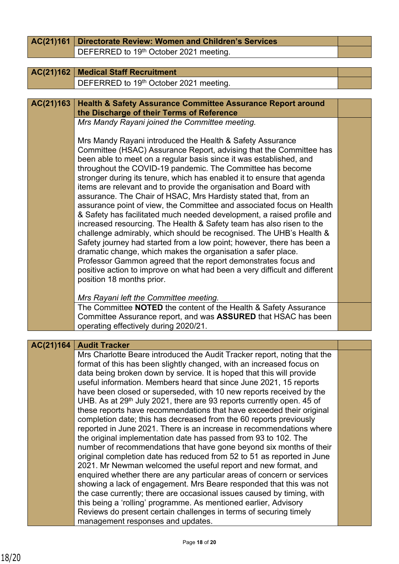| AC(21)161 | <b>Directorate Review: Women and Children's Services</b>                                                                                                                                                                                                                                                                                                                                                                                                                                                                                                                                                                                                                                                                                                                                                                                                                                                                                                                                                                                                                                                               |  |
|-----------|------------------------------------------------------------------------------------------------------------------------------------------------------------------------------------------------------------------------------------------------------------------------------------------------------------------------------------------------------------------------------------------------------------------------------------------------------------------------------------------------------------------------------------------------------------------------------------------------------------------------------------------------------------------------------------------------------------------------------------------------------------------------------------------------------------------------------------------------------------------------------------------------------------------------------------------------------------------------------------------------------------------------------------------------------------------------------------------------------------------------|--|
|           | DEFERRED to 19th October 2021 meeting.                                                                                                                                                                                                                                                                                                                                                                                                                                                                                                                                                                                                                                                                                                                                                                                                                                                                                                                                                                                                                                                                                 |  |
|           |                                                                                                                                                                                                                                                                                                                                                                                                                                                                                                                                                                                                                                                                                                                                                                                                                                                                                                                                                                                                                                                                                                                        |  |
| AC(21)162 | <b>Medical Staff Recruitment</b>                                                                                                                                                                                                                                                                                                                                                                                                                                                                                                                                                                                                                                                                                                                                                                                                                                                                                                                                                                                                                                                                                       |  |
|           | DEFERRED to 19th October 2021 meeting.                                                                                                                                                                                                                                                                                                                                                                                                                                                                                                                                                                                                                                                                                                                                                                                                                                                                                                                                                                                                                                                                                 |  |
|           |                                                                                                                                                                                                                                                                                                                                                                                                                                                                                                                                                                                                                                                                                                                                                                                                                                                                                                                                                                                                                                                                                                                        |  |
| AC(21)163 | <b>Health &amp; Safety Assurance Committee Assurance Report around</b><br>the Discharge of their Terms of Reference                                                                                                                                                                                                                                                                                                                                                                                                                                                                                                                                                                                                                                                                                                                                                                                                                                                                                                                                                                                                    |  |
|           | Mrs Mandy Rayani joined the Committee meeting.                                                                                                                                                                                                                                                                                                                                                                                                                                                                                                                                                                                                                                                                                                                                                                                                                                                                                                                                                                                                                                                                         |  |
|           | Mrs Mandy Rayani introduced the Health & Safety Assurance<br>Committee (HSAC) Assurance Report, advising that the Committee has<br>been able to meet on a regular basis since it was established, and<br>throughout the COVID-19 pandemic. The Committee has become<br>stronger during its tenure, which has enabled it to ensure that agenda<br>items are relevant and to provide the organisation and Board with<br>assurance. The Chair of HSAC, Mrs Hardisty stated that, from an<br>assurance point of view, the Committee and associated focus on Health<br>& Safety has facilitated much needed development, a raised profile and<br>increased resourcing. The Health & Safety team has also risen to the<br>challenge admirably, which should be recognised. The UHB's Health &<br>Safety journey had started from a low point; however, there has been a<br>dramatic change, which makes the organisation a safer place.<br>Professor Gammon agreed that the report demonstrates focus and<br>positive action to improve on what had been a very difficult and different<br>position 18 months prior.         |  |
|           | Mrs Rayani left the Committee meeting.                                                                                                                                                                                                                                                                                                                                                                                                                                                                                                                                                                                                                                                                                                                                                                                                                                                                                                                                                                                                                                                                                 |  |
|           | The Committee NOTED the content of the Health & Safety Assurance<br>Committee Assurance report, and was <b>ASSURED</b> that HSAC has been<br>operating effectively during 2020/21.                                                                                                                                                                                                                                                                                                                                                                                                                                                                                                                                                                                                                                                                                                                                                                                                                                                                                                                                     |  |
|           |                                                                                                                                                                                                                                                                                                                                                                                                                                                                                                                                                                                                                                                                                                                                                                                                                                                                                                                                                                                                                                                                                                                        |  |
| AC(21)164 | <b>Audit Tracker</b><br>Mrs Charlotte Beare introduced the Audit Tracker report, noting that the                                                                                                                                                                                                                                                                                                                                                                                                                                                                                                                                                                                                                                                                                                                                                                                                                                                                                                                                                                                                                       |  |
|           | format of this has been slightly changed, with an increased focus on<br>data being broken down by service. It is hoped that this will provide<br>useful information. Members heard that since June 2021, 15 reports<br>have been closed or superseded, with 10 new reports received by the<br>UHB. As at 29 <sup>th</sup> July 2021, there are 93 reports currently open. 45 of<br>these reports have recommendations that have exceeded their original<br>completion date; this has decreased from the 60 reports previously<br>reported in June 2021. There is an increase in recommendations where<br>the original implementation date has passed from 93 to 102. The<br>number of recommendations that have gone beyond six months of their<br>original completion date has reduced from 52 to 51 as reported in June<br>2021. Mr Newman welcomed the useful report and new format, and<br>enquired whether there are any particular areas of concern or services<br>showing a lack of engagement. Mrs Beare responded that this was not<br>the case currently; there are occasional issues caused by timing, with |  |
|           | this being a 'rolling' programme. As mentioned earlier, Advisory<br>Reviews do present certain challenges in terms of securing timely<br>management responses and updates.                                                                                                                                                                                                                                                                                                                                                                                                                                                                                                                                                                                                                                                                                                                                                                                                                                                                                                                                             |  |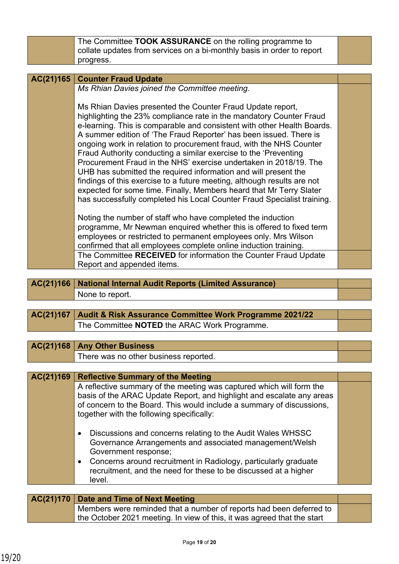|           | The Committee TOOK ASSURANCE on the rolling programme to                                                                           |  |
|-----------|------------------------------------------------------------------------------------------------------------------------------------|--|
|           | collate updates from services on a bi-monthly basis in order to report                                                             |  |
|           | progress.                                                                                                                          |  |
|           |                                                                                                                                    |  |
| AC(21)165 | <b>Counter Fraud Update</b>                                                                                                        |  |
|           | Ms Rhian Davies joined the Committee meeting.                                                                                      |  |
|           |                                                                                                                                    |  |
|           | Ms Rhian Davies presented the Counter Fraud Update report,                                                                         |  |
|           | highlighting the 23% compliance rate in the mandatory Counter Fraud                                                                |  |
|           | e-learning. This is comparable and consistent with other Health Boards.                                                            |  |
|           | A summer edition of 'The Fraud Reporter' has been issued. There is                                                                 |  |
|           | ongoing work in relation to procurement fraud, with the NHS Counter                                                                |  |
|           | Fraud Authority conducting a similar exercise to the 'Preventing                                                                   |  |
|           | Procurement Fraud in the NHS' exercise undertaken in 2018/19. The                                                                  |  |
|           | UHB has submitted the required information and will present the                                                                    |  |
|           | findings of this exercise to a future meeting, although results are not                                                            |  |
|           | expected for some time. Finally, Members heard that Mr Terry Slater                                                                |  |
|           | has successfully completed his Local Counter Fraud Specialist training.                                                            |  |
|           |                                                                                                                                    |  |
|           | Noting the number of staff who have completed the induction<br>programme, Mr Newman enquired whether this is offered to fixed term |  |
|           | employees or restricted to permanent employees only. Mrs Wilson                                                                    |  |
|           | confirmed that all employees complete online induction training.                                                                   |  |
|           | The Committee RECEIVED for information the Counter Fraud Update                                                                    |  |
|           | Report and appended items.                                                                                                         |  |
|           |                                                                                                                                    |  |
| AC(21)166 | <b>National Internal Audit Reports (Limited Assurance)</b>                                                                         |  |
|           |                                                                                                                                    |  |
|           |                                                                                                                                    |  |
|           | None to report.                                                                                                                    |  |
|           |                                                                                                                                    |  |
| AC(21)167 | Audit & Risk Assurance Committee Work Programme 2021/22                                                                            |  |
|           | The Committee NOTED the ARAC Work Programme.                                                                                       |  |
|           |                                                                                                                                    |  |
| AC(21)168 | <b>Any Other Business</b>                                                                                                          |  |
|           | There was no other business reported.                                                                                              |  |
|           |                                                                                                                                    |  |
| AC(21)169 | <b>Reflective Summary of the Meeting</b>                                                                                           |  |
|           | A reflective summary of the meeting was captured which will form the                                                               |  |
|           | basis of the ARAC Update Report, and highlight and escalate any areas                                                              |  |
|           | of concern to the Board. This would include a summary of discussions,                                                              |  |
|           | together with the following specifically:                                                                                          |  |
|           |                                                                                                                                    |  |
|           | Discussions and concerns relating to the Audit Wales WHSSC<br>٠                                                                    |  |
|           | Governance Arrangements and associated management/Welsh                                                                            |  |
|           | Government response;                                                                                                               |  |
|           | Concerns around recruitment in Radiology, particularly graduate<br>٠                                                               |  |
|           | recruitment, and the need for these to be discussed at a higher                                                                    |  |
|           | level.                                                                                                                             |  |
|           |                                                                                                                                    |  |
| AC(21)170 | Date and Time of Next Meeting<br>Members were reminded that a number of reports had been deferred to                               |  |

| $\sim$ (2)) $\prime$ U $\prime$ Date and Thile Of Next Meeting          |  |
|-------------------------------------------------------------------------|--|
| Members were reminded that a number of reports had been deferred to     |  |
| the October 2021 meeting. In view of this, it was agreed that the start |  |